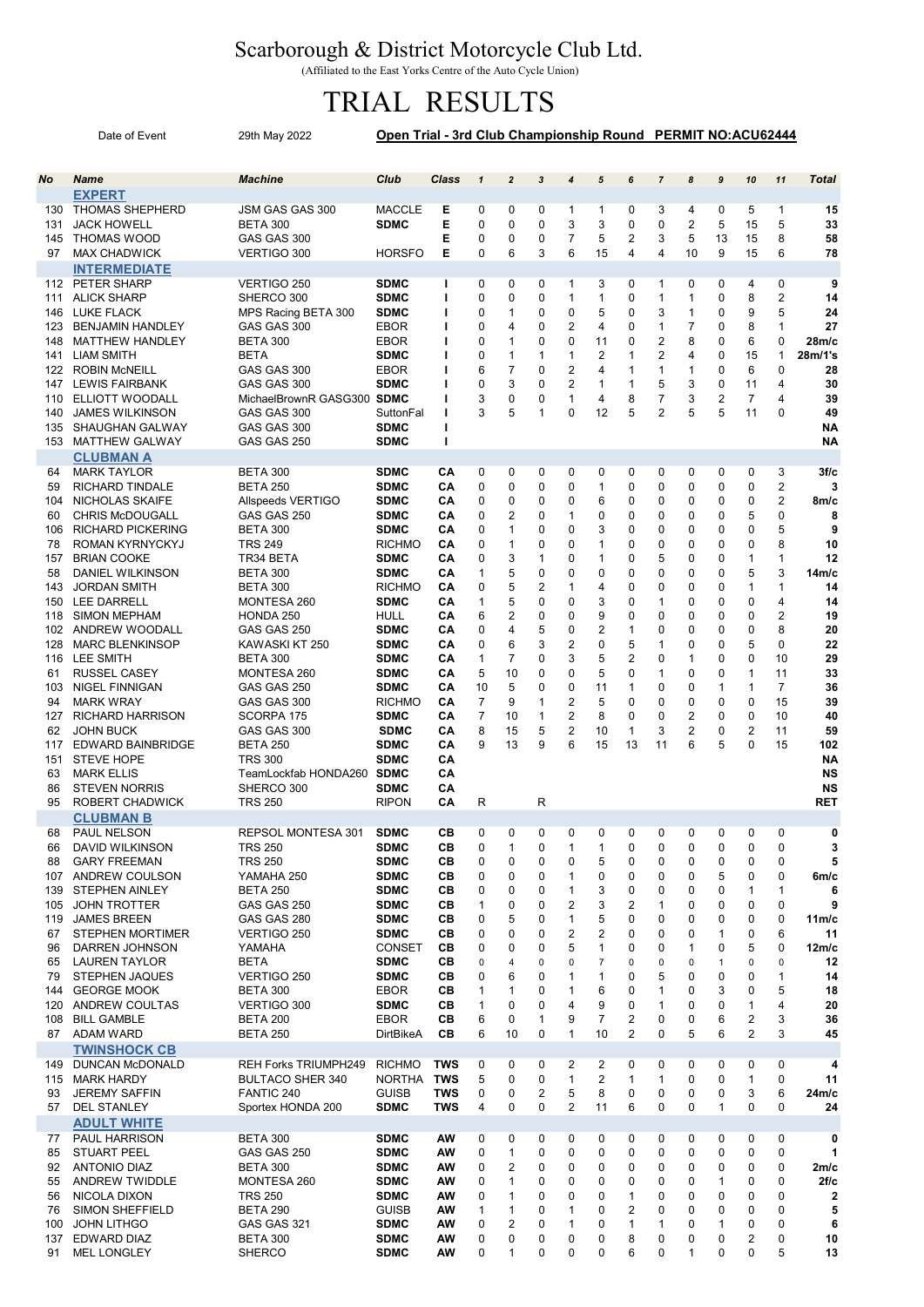## Scarborough & District Motorcycle Club Ltd.

(Affiliated to the East Yorks Centre of the Auto Cycle Union)

## TRIAL RESULTS

|            | Date of Event                                | Open Trial - 3rd Club Championship Round PERMIT NO:ACU62444 |                              |              |                     |                                |                  |                              |                     |                              |                   |                              |                   |                     |                              |                         |
|------------|----------------------------------------------|-------------------------------------------------------------|------------------------------|--------------|---------------------|--------------------------------|------------------|------------------------------|---------------------|------------------------------|-------------------|------------------------------|-------------------|---------------------|------------------------------|-------------------------|
|            |                                              |                                                             |                              |              |                     |                                |                  |                              |                     |                              |                   |                              |                   |                     |                              |                         |
| <b>No</b>  | <b>Name</b>                                  | <b>Machine</b>                                              | Club                         | <b>Class</b> | $\mathbf{1}$        | $\overline{2}$                 | 3                | 4                            | 5                   | 6                            | $\overline{7}$    | 8                            | $\pmb{9}$         | 10                  | 11                           | <b>Total</b>            |
|            | <b>EXPERT</b>                                |                                                             |                              |              |                     |                                |                  |                              |                     |                              |                   |                              |                   |                     |                              |                         |
| 131        | 130 THOMAS SHEPHERD<br><b>JACK HOWELL</b>    | JSM GAS GAS 300<br><b>BETA 300</b>                          | <b>MACCLE</b><br><b>SDMC</b> | Е<br>E       | 0<br>$\mathbf 0$    | 0<br>$\mathbf 0$               | 0<br>0           | $\mathbf{1}$<br>3            | 1<br>3              | 0<br>0                       | 3<br>0            | 4<br>2                       | 0<br>5            | 5<br>15             | 1<br>5                       | 15<br>33                |
| 145        | <b>THOMAS WOOD</b>                           | GAS GAS 300                                                 |                              | Е            | 0                   | $\mathbf 0$                    | 0                | 7                            | 5                   | 2                            | 3                 | 5                            | 13                | 15                  | 8                            | 58                      |
| 97         | <b>MAX CHADWICK</b>                          | VERTIGO 300                                                 | <b>HORSFO</b>                | Е            | $\mathbf 0$         | 6                              | 3                | 6                            | 15                  | 4                            | $\overline{4}$    | 10                           | 9                 | 15                  | 6                            | 78                      |
|            | <b>INTERMEDIATE</b>                          |                                                             |                              |              |                     |                                |                  |                              |                     |                              |                   |                              |                   |                     |                              |                         |
|            | 112 PETER SHARP                              | VERTIGO 250                                                 | <b>SDMC</b>                  | L            | 0                   | 0                              | 0                | 1                            | 3                   | 0                            | $\mathbf{1}$      | 0                            | 0                 | 4                   | 0                            | 9                       |
| 111<br>146 | <b>ALICK SHARP</b><br>LUKE FLACK             | SHERCO 300<br>MPS Racing BETA 300                           | <b>SDMC</b><br><b>SDMC</b>   | T<br>т       | 0<br>0              | $\mathbf 0$<br>$\mathbf{1}$    | $\mathbf 0$<br>0 | 1<br>0                       | $\mathbf{1}$<br>5   | 0<br>0                       | $\mathbf{1}$<br>3 | $\mathbf{1}$<br>$\mathbf{1}$ | $\mathbf 0$<br>0  | 8<br>9              | $\overline{2}$<br>5          | 14<br>24                |
| 123        | <b>BENJAMIN HANDLEY</b>                      | GAS GAS 300                                                 | <b>EBOR</b>                  | T            | 0                   | 4                              | 0                | 2                            | 4                   | 0                            | $\mathbf{1}$      | $\overline{7}$               | 0                 | 8                   | $\mathbf{1}$                 | 27                      |
| 148        | <b>MATTHEW HANDLEY</b>                       | <b>BETA 300</b>                                             | <b>EBOR</b>                  | T            | 0                   | $\mathbf{1}$                   | 0                | 0                            | 11                  | 0                            | $\overline{2}$    | 8                            | 0                 | 6                   | 0                            | 28m/c                   |
| 141        | <b>LIAM SMITH</b>                            | <b>BETA</b>                                                 | <b>SDMC</b>                  | I.           | 0                   | $\mathbf{1}$                   | 1                | 1                            | 2                   | 1                            | 2                 | 4                            | 0                 | 15                  | 1                            | 28m/1's                 |
| 122        | <b>ROBIN McNEILL</b><br>147 LEWIS FAIRBANK   | GAS GAS 300<br>GAS GAS 300                                  | <b>EBOR</b><br><b>SDMC</b>   | I<br>п       | 6<br>0              | $\overline{7}$<br>3            | 0<br>0           | 2<br>2                       | 4<br>1              | $\mathbf{1}$<br>$\mathbf{1}$ | $\mathbf{1}$<br>5 | 1<br>3                       | 0<br>0            | 6<br>11             | $\Omega$<br>4                | 28<br>30                |
| 110        | ELLIOTT WOODALL                              | MichaelBrownR GASG300 SDMC                                  |                              | ı            | 3                   | $\mathbf 0$                    | $\mathbf 0$      | $\mathbf{1}$                 | 4                   | 8                            | $\overline{7}$    | 3                            | $\overline{2}$    | $\overline{7}$      | 4                            | 39                      |
| 140        | <b>JAMES WILKINSON</b>                       | GAS GAS 300                                                 | SuttonFal                    | т            | 3                   | 5                              | 1                | 0                            | 12                  | 5                            | 2                 | 5                            | 5                 | 11                  | $\Omega$                     | 49                      |
| 135        | SHAUGHAN GALWAY                              | GAS GAS 300                                                 | <b>SDMC</b>                  | т            |                     |                                |                  |                              |                     |                              |                   |                              |                   |                     |                              | <b>NA</b>               |
| 153        | <b>MATTHEW GALWAY</b>                        | GAS GAS 250                                                 | <b>SDMC</b>                  | T            |                     |                                |                  |                              |                     |                              |                   |                              |                   |                     |                              | <b>NA</b>               |
|            | <b>CLUBMAN A</b>                             |                                                             |                              |              |                     |                                |                  |                              |                     |                              |                   |                              |                   |                     |                              |                         |
| 64<br>59   | <b>MARK TAYLOR</b><br><b>RICHARD TINDALE</b> | <b>BETA 300</b><br><b>BETA 250</b>                          | <b>SDMC</b><br><b>SDMC</b>   | CА<br>CA     | 0<br>$\mathbf 0$    | 0<br>0                         | 0<br>0           | 0<br>0                       | 0<br>1              | 0<br>0                       | 0<br>0            | 0<br>0                       | 0<br>0            | 0<br>0              | 3<br>$\overline{\mathbf{c}}$ | 3f/c<br>3               |
| 104        | NICHOLAS SKAIFE                              | Allspeeds VERTIGO                                           | <b>SDMC</b>                  | CА           | 0                   | 0                              | $\mathbf 0$      | 0                            | 6                   | 0                            | 0                 | 0                            | 0                 | 0                   | 2                            | 8m/c                    |
| 60         | <b>CHRIS McDOUGALL</b>                       | GAS GAS 250                                                 | <b>SDMC</b>                  | CA           | 0                   | 2                              | 0                | 1                            | 0                   | 0                            | 0                 | 0                            | 0                 | 5                   | 0                            | 8                       |
| 106        | <b>RICHARD PICKERING</b>                     | <b>BETA 300</b>                                             | <b>SDMC</b>                  | CА           | $\mathbf 0$         | $\mathbf{1}$                   | 0                | 0                            | 3                   | 0                            | 0                 | 0                            | 0                 | 0                   | 5                            | 9                       |
| 78<br>157  | ROMAN KYRNYCKYJ<br><b>BRIAN COOKE</b>        | <b>TRS 249</b><br>TR34 BETA                                 | <b>RICHMO</b><br><b>SDMC</b> | CA<br>CА     | 0<br>0              | $\mathbf{1}$<br>3              | 0<br>1           | 0<br>0                       | 1<br>1              | 0<br>0                       | 0<br>5            | 0<br>0                       | 0<br>0            | 0<br>$\mathbf 1$    | 8<br>1                       | 10<br>12                |
| 58         | DANIEL WILKINSON                             | <b>BETA 300</b>                                             | <b>SDMC</b>                  | CА           | $\mathbf{1}$        | 5                              | 0                | 0                            | 0                   | 0                            | 0                 | 0                            | 0                 | 5                   | 3                            | 14m/c                   |
| 143        | <b>JORDAN SMITH</b>                          | <b>BETA 300</b>                                             | <b>RICHMO</b>                | CА           | 0                   | 5                              | 2                | 1                            | 4                   | 0                            | 0                 | 0                            | 0                 | $\mathbf 1$         | $\mathbf{1}$                 | 14                      |
| 150        | <b>LEE DARRELL</b>                           | MONTESA 260                                                 | <b>SDMC</b>                  | CA           | $\mathbf{1}$        | 5                              | 0                | 0                            | 3                   | 0                            | $\mathbf{1}$      | 0                            | 0                 | 0                   | 4                            | 14                      |
| 118        | <b>SIMON MEPHAM</b>                          | HONDA 250                                                   | HULL                         | CА           | 6                   | 2                              | 0                | 0                            | 9                   | 0                            | 0                 | 0                            | 0                 | 0                   | 2                            | 19                      |
| 102<br>128 | ANDREW WOODALL<br><b>MARC BLENKINSOP</b>     | GAS GAS 250<br>KAWASKI KT 250                               | <b>SDMC</b><br><b>SDMC</b>   | CА<br>CA     | 0<br>0              | $\overline{4}$<br>6            | 5<br>3           | 0<br>$\overline{\mathbf{c}}$ | 2<br>0              | $\mathbf{1}$<br>5            | 0<br>1            | 0<br>0                       | 0<br>0            | 0<br>5              | 8<br>$\Omega$                | 20<br>22                |
| 116        | <b>LEE SMITH</b>                             | <b>BETA 300</b>                                             | <b>SDMC</b>                  | CА           | $\mathbf{1}$        | $\overline{7}$                 | $\mathbf 0$      | 3                            | 5                   | 2                            | 0                 | 1                            | 0                 | $\mathbf 0$         | 10                           | 29                      |
| 61         | <b>RUSSEL CASEY</b>                          | MONTESA 260                                                 | <b>SDMC</b>                  | CA           | 5                   | 10                             | 0                | 0                            | 5                   | 0                            | $\mathbf{1}$      | 0                            | 0                 | $\mathbf{1}$        | 11                           | 33                      |
| 103        | <b>NIGEL FINNIGAN</b>                        | GAS GAS 250                                                 | <b>SDMC</b>                  | CA           | 10                  | 5                              | 0                | 0                            | 11                  | $\mathbf{1}$                 | 0                 | 0                            | 1                 | 1                   | $\overline{7}$               | 36                      |
| 94         | <b>MARK WRAY</b>                             | GAS GAS 300                                                 | <b>RICHMO</b>                | CА           | $\overline{7}$      | 9                              | 1                | 2                            | 5                   | 0                            | 0                 | 0<br>$\overline{2}$          | 0                 | 0                   | 15                           | 39                      |
| 127<br>62  | <b>RICHARD HARRISON</b><br><b>JOHN BUCK</b>  | SCORPA 175<br>GAS GAS 300                                   | <b>SDMC</b><br><b>SDMC</b>   | CA<br>CА     | $\overline{7}$<br>8 | 10<br>15                       | 1<br>5           | 2<br>2                       | 8<br>10             | 0<br>$\mathbf{1}$            | 0<br>3            | 2                            | $\mathbf 0$<br>0  | 0<br>$\overline{2}$ | 10<br>11                     | 40<br>59                |
| 117        | EDWARD BAINBRIDGE                            | <b>BETA 250</b>                                             | <b>SDMC</b>                  | CА           | 9                   | 13                             | 9                | 6                            | 15                  | 13                           | 11                | 6                            | 5                 | $\Omega$            | 15                           | 102                     |
| 151        | <b>STEVE HOPE</b>                            | <b>TRS 300</b>                                              | <b>SDMC</b>                  | CA           |                     |                                |                  |                              |                     |                              |                   |                              |                   |                     |                              | <b>NA</b>               |
| 63         | <b>MARK ELLIS</b>                            | TeamLockfab HONDA260 SDMC                                   |                              | CА           |                     |                                |                  |                              |                     |                              |                   |                              |                   |                     |                              | <b>NS</b>               |
| 86<br>95   | <b>STEVEN NORRIS</b><br>ROBERT CHADWICK      | SHERCO 300<br><b>TRS 250</b>                                | <b>SDMC</b><br><b>RIPON</b>  | CA<br>CА     | R                   |                                | R                |                              |                     |                              |                   |                              |                   |                     |                              | <b>NS</b><br><b>RET</b> |
|            | <b>CLUBMAN B</b>                             |                                                             |                              |              |                     |                                |                  |                              |                     |                              |                   |                              |                   |                     |                              |                         |
| 68         | PAUL NELSON                                  | REPSOL MONTESA 301                                          | <b>SDMC</b>                  | CВ           | 0                   | 0                              | 0                | 0                            | 0                   | 0                            | 0                 | 0                            | 0                 | 0                   | 0                            | 0                       |
| 66         | DAVID WILKINSON                              | <b>TRS 250</b>                                              | <b>SDMC</b>                  | CВ           | 0                   | $\mathbf{1}$                   | 0                | 1                            | 1                   | 0                            | 0                 | 0                            | 0                 | 0                   | 0                            | 3                       |
| 88         | <b>GARY FREEMAN</b>                          | <b>TRS 250</b>                                              | <b>SDMC</b>                  | CВ           | 0                   | 0                              | 0                | 0                            | 5                   | 0                            | 0                 | 0                            | 0                 | 0                   | 0                            | 5                       |
| 139        | 107 ANDREW COULSON<br><b>STEPHEN AINLEY</b>  | YAMAHA 250<br><b>BETA 250</b>                               | <b>SDMC</b><br><b>SDMC</b>   | CВ<br>CВ     | 0<br>0              | 0<br>0                         | 0<br>0           | 1<br>1                       | 0<br>3              | 0<br>0                       | 0<br>0            | 0<br>0                       | 5<br>0            | 0<br>1              | 0<br>1                       | 6m/c<br>6               |
| 105        | JOHN TROTTER                                 | GAS GAS 250                                                 | <b>SDMC</b>                  | CВ           | $\mathbf 1$         | 0                              | 0                | 2                            | 3                   | 2                            | 1                 | 0                            | 0                 | 0                   | 0                            | 9                       |
| 119        | <b>JAMES BREEN</b>                           | GAS GAS 280                                                 | <b>SDMC</b>                  | CВ           | 0                   | 5                              | 0                | 1                            | 5                   | 0                            | 0                 | 0                            | 0                 | 0                   | 0                            | 11m/c                   |
| 67         | <b>STEPHEN MORTIMER</b>                      | VERTIGO 250                                                 | <b>SDMC</b>                  | CВ           | 0                   | 0                              | 0                | 2                            | 2                   | 0                            | 0                 | 0                            | 1                 | 0                   | 6                            | 11                      |
| 96         | DARREN JOHNSON<br>65 LAUREN TAYLOR           | YAMAHA<br><b>BETA</b>                                       | <b>CONSET</b><br><b>SDMC</b> | CВ<br>CВ     | 0<br>0              | 0<br>$\overline{4}$            | 0<br>0           | 5<br>0                       | 1<br>$\overline{7}$ | 0<br>0                       | 0<br>0            | 1<br>0                       | 0<br>$\mathbf{1}$ | 5<br>0              | 0<br>0                       | 12m/c<br>12             |
| 79         | STEPHEN JAQUES                               | VERTIGO 250                                                 | <b>SDMC</b>                  | CВ           | 0                   | 6                              | 0                | 1                            | 1                   | 0                            | 5                 | 0                            | 0                 | 0                   | 1                            | 14                      |
|            | 144 GEORGE MOOK                              | <b>BETA 300</b>                                             | <b>EBOR</b>                  | CВ           | 1                   | $\mathbf{1}$                   | 0                | 1                            | 6                   | 0                            | 1                 | 0                            | 3                 | 0                   | 5                            | 18                      |
|            | 120 ANDREW COULTAS                           | VERTIGO 300                                                 | <b>SDMC</b>                  | CВ           | $\mathbf 1$         | 0                              | 0                | 4                            | 9                   | 0                            | 1                 | 0                            | 0                 | $\mathbf{1}$        | 4                            | 20                      |
| 108        | <b>BILL GAMBLE</b>                           | <b>BETA 200</b>                                             | <b>EBOR</b>                  | CВ<br>CВ     | 6<br>6              | 0<br>10                        | 1<br>0           | 9<br>1                       | 7<br>10             | $\overline{\mathbf{c}}$<br>2 | 0<br>$\mathbf 0$  | 0<br>5                       | 6<br>6            | 2<br>$\overline{2}$ | 3<br>3                       | 36                      |
|            | 87 ADAM WARD<br><b>TWINSHOCK CB</b>          | <b>BETA 250</b>                                             | DirtBikeA                    |              |                     |                                |                  |                              |                     |                              |                   |                              |                   |                     |                              | 45                      |
|            | 149 DUNCAN McDONALD                          | REH Forks TRIUMPH249                                        | <b>RICHMO</b>                | TWS          | 0                   | 0                              | 0                | 2                            | 2                   | 0                            | 0                 | 0                            | 0                 | 0                   | 0                            | 4                       |
|            | 115 MARK HARDY                               | <b>BULTACO SHER 340</b>                                     | <b>NORTHA</b>                | <b>TWS</b>   | 5                   | 0                              | 0                | $\mathbf{1}$                 | 2                   | $\mathbf{1}$                 | $\mathbf{1}$      | 0                            | 0                 | $\mathbf{1}$        | 0                            | 11                      |
| 93         | <b>JEREMY SAFFIN</b>                         | FANTIC 240                                                  | <b>GUISB</b>                 | <b>TWS</b>   | 0                   | 0                              | 2                | 5                            | 8                   | 0                            | 0                 | 0                            | 0                 | 3                   | 6                            | 24m/c                   |
| 57         | <b>DEL STANLEY</b>                           | Sportex HONDA 200                                           | <b>SDMC</b>                  | <b>TWS</b>   | 4                   | $\mathbf 0$                    | 0                | 2                            | 11                  | 6                            | 0                 | 0                            | $\mathbf{1}$      | 0                   | 0                            | 24                      |
|            | <b>ADULT WHITE</b><br>77 PAUL HARRISON       | <b>BETA 300</b>                                             | <b>SDMC</b>                  | AW           | 0                   | 0                              | 0                | 0                            | 0                   | 0                            | 0                 | 0                            | 0                 | 0                   | 0                            | 0                       |
| 85         | <b>STUART PEEL</b>                           | GAS GAS 250                                                 | <b>SDMC</b>                  | AW           | 0                   | 1                              | 0                | 0                            | 0                   | 0                            | 0                 | 0                            | 0                 | 0                   | 0                            | 1                       |
| 92         | <b>ANTONIO DIAZ</b>                          | <b>BETA 300</b>                                             | <b>SDMC</b>                  | AW           | 0                   | 2                              | 0                | 0                            | 0                   | 0                            | 0                 | 0                            | 0                 | 0                   | 0                            | 2m/c                    |
| 55         | ANDREW TWIDDLE                               | MONTESA 260                                                 | <b>SDMC</b>                  | AW           | 0                   | $\mathbf{1}$                   | 0                | 0                            | 0                   | 0                            | 0                 | 0                            | 1                 | 0                   | 0                            | 2f/c                    |
| 56         | NICOLA DIXON                                 | <b>TRS 250</b>                                              | <b>SDMC</b>                  | AW           | 0                   | $\mathbf{1}$                   | 0                | 0                            | 0                   | $\mathbf{1}$                 | 0                 | 0                            | 0                 | 0                   | 0                            | 2                       |
| 76<br>100  | <b>SIMON SHEFFIELD</b><br><b>JOHN LITHGO</b> | <b>BETA 290</b><br>GAS GAS 321                              | <b>GUISB</b><br><b>SDMC</b>  | AW<br>AW     | $\mathbf 1$<br>0    | $\mathbf{1}$<br>$\overline{2}$ | 0<br>0           | 1<br>1                       | 0<br>0              | 2<br>$\mathbf{1}$            | 0<br>1            | 0<br>0                       | 0<br>1            | 0<br>0              | 0<br>0                       | 5<br>6                  |
| 137        | EDWARD DIAZ                                  | <b>BETA 300</b>                                             | <b>SDMC</b>                  | AW           | 0                   | 0                              | 0                | 0                            | 0                   | 8                            | 0                 | 0                            | 0                 | 2                   | 0                            | 10                      |
| 91         | <b>MEL LONGLEY</b>                           | <b>SHERCO</b>                                               | <b>SDMC</b>                  | AW           | 0                   | $\mathbf{1}$                   | 0                | 0                            | 0                   | 6                            | 0                 | 1                            | 0                 | 0                   | 5                            | 13                      |